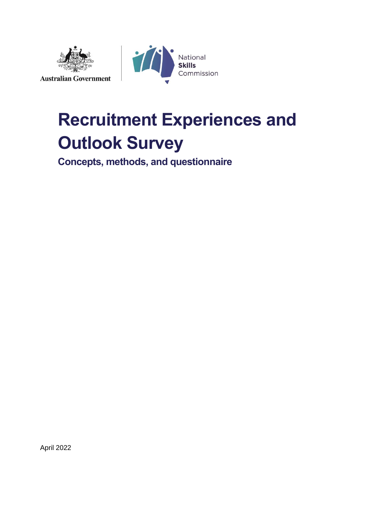



# **Recruitment Experiences and Outlook Survey**

**Concepts, methods, and questionnaire**

April 2022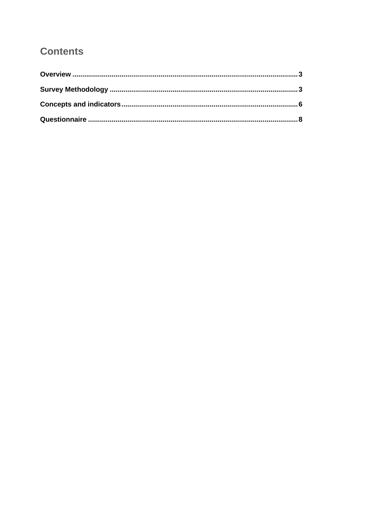## **Contents**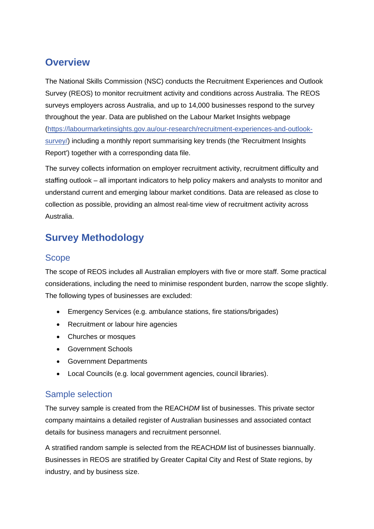# <span id="page-2-0"></span>**Overview**

The National Skills Commission (NSC) conducts the Recruitment Experiences and Outlook Survey (REOS) to monitor recruitment activity and conditions across Australia. The REOS surveys employers across Australia, and up to 14,000 businesses respond to the survey throughout the year. Data are published on the Labour Market Insights webpage [\(https://labourmarketinsights.gov.au/our-research/recruitment-experiences-and-outlook](https://labourmarketinsights.gov.au/our-research/recruitment-experiences-and-outlook-survey/)[survey/\)](https://labourmarketinsights.gov.au/our-research/recruitment-experiences-and-outlook-survey/) including a monthly report summarising key trends (the 'Recruitment Insights Report') together with a corresponding data file.

The survey collects information on employer recruitment activity, recruitment difficulty and staffing outlook – all important indicators to help policy makers and analysts to monitor and understand current and emerging labour market conditions. Data are released as close to collection as possible, providing an almost real-time view of recruitment activity across Australia.

# <span id="page-2-1"></span>**Survey Methodology**

## **Scope**

The scope of REOS includes all Australian employers with five or more staff. Some practical considerations, including the need to minimise respondent burden, narrow the scope slightly. The following types of businesses are excluded:

- Emergency Services (e.g. ambulance stations, fire stations/brigades)
- Recruitment or labour hire agencies
- Churches or mosques
- Government Schools
- Government Departments
- Local Councils (e.g. local government agencies, council libraries).

### Sample selection

The survey sample is created from the REACH*DM* list of businesses. This private sector company maintains a detailed register of Australian businesses and associated contact details for business managers and recruitment personnel.

A stratified random sample is selected from the REACH*DM* list of businesses biannually. Businesses in REOS are stratified by Greater Capital City and Rest of State regions, by industry, and by business size.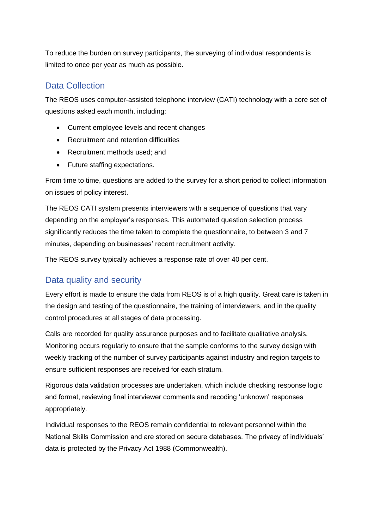To reduce the burden on survey participants, the surveying of individual respondents is limited to once per year as much as possible.

## Data Collection

The REOS uses computer-assisted telephone interview (CATI) technology with a core set of questions asked each month, including:

- Current employee levels and recent changes
- Recruitment and retention difficulties
- Recruitment methods used; and
- Future staffing expectations.

From time to time, questions are added to the survey for a short period to collect information on issues of policy interest.

The REOS CATI system presents interviewers with a sequence of questions that vary depending on the employer's responses. This automated question selection process significantly reduces the time taken to complete the questionnaire, to between 3 and 7 minutes, depending on businesses' recent recruitment activity.

The REOS survey typically achieves a response rate of over 40 per cent.

## Data quality and security

Every effort is made to ensure the data from REOS is of a high quality. Great care is taken in the design and testing of the questionnaire, the training of interviewers, and in the quality control procedures at all stages of data processing.

Calls are recorded for quality assurance purposes and to facilitate qualitative analysis. Monitoring occurs regularly to ensure that the sample conforms to the survey design with weekly tracking of the number of survey participants against industry and region targets to ensure sufficient responses are received for each stratum.

Rigorous data validation processes are undertaken, which include checking response logic and format, reviewing final interviewer comments and recoding 'unknown' responses appropriately.

Individual responses to the REOS remain confidential to relevant personnel within the National Skills Commission and are stored on secure databases. The privacy of individuals' data is protected by the Privacy Act 1988 (Commonwealth).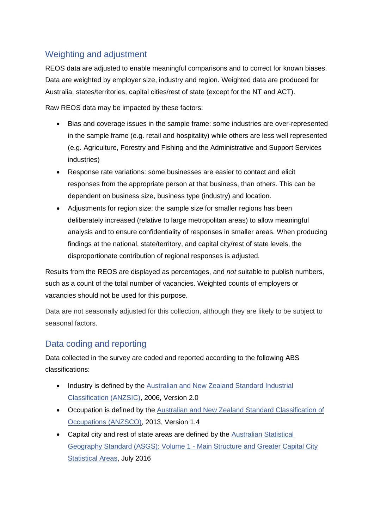## Weighting and adjustment

REOS data are adjusted to enable meaningful comparisons and to correct for known biases. Data are weighted by employer size, industry and region. Weighted data are produced for Australia, states/territories, capital cities/rest of state (except for the NT and ACT).

Raw REOS data may be impacted by these factors:

- Bias and coverage issues in the sample frame: some industries are over-represented in the sample frame (e.g. retail and hospitality) while others are less well represented (e.g. Agriculture, Forestry and Fishing and the Administrative and Support Services industries)
- Response rate variations: some businesses are easier to contact and elicit responses from the appropriate person at that business, than others. This can be dependent on business size, business type (industry) and location.
- Adjustments for region size: the sample size for smaller regions has been deliberately increased (relative to large metropolitan areas) to allow meaningful analysis and to ensure confidentiality of responses in smaller areas. When producing findings at the national, state/territory, and capital city/rest of state levels, the disproportionate contribution of regional responses is adjusted.

Results from the REOS are displayed as percentages, and *not* suitable to publish numbers, such as a count of the total number of vacancies. Weighted counts of employers or vacancies should not be used for this purpose.

Data are not seasonally adjusted for this collection, although they are likely to be subject to seasonal factors.

## Data coding and reporting

Data collected in the survey are coded and reported according to the following ABS classifications:

- Industry is defined by the Australian and New Zealand Standard Industrial [Classification \(ANZSIC\),](https://www.abs.gov.au/ausstats/abs@.nsf/mf/1292.0) 2006, Version 2.0
- Occupation is defined by the [Australian and New Zealand Standard Classification of](https://www.abs.gov.au/ausstats/abs@.nsf/mf/1220.0)  [Occupations \(ANZSCO\),](https://www.abs.gov.au/ausstats/abs@.nsf/mf/1220.0) 2013, Version 1.4
- Capital city and rest of state areas are defined by the [Australian Statistical](https://www.abs.gov.au/ausstats/abs@.nsf/mf/1270.0.55.001)  [Geography Standard \(ASGS\): Volume 1 -](https://www.abs.gov.au/ausstats/abs@.nsf/mf/1270.0.55.001) Main Structure and Greater Capital City [Statistical Areas,](https://www.abs.gov.au/ausstats/abs@.nsf/mf/1270.0.55.001) July 2016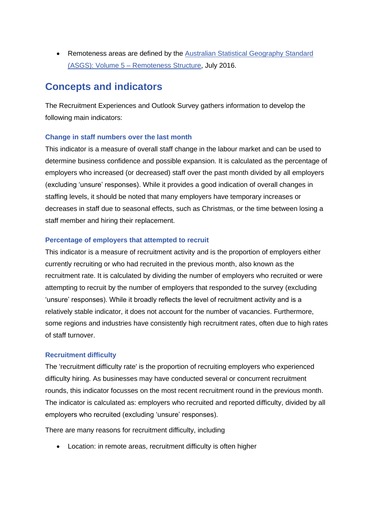• Remoteness areas are defined by the [Australian Statistical Geography Standard](https://www.abs.gov.au/ausstats/abs@.nsf/mf/1270.0.55.005)  (ASGS): Volume 5 – [Remoteness Structure,](https://www.abs.gov.au/ausstats/abs@.nsf/mf/1270.0.55.005) July 2016.

## <span id="page-5-0"></span>**Concepts and indicators**

The Recruitment Experiences and Outlook Survey gathers information to develop the following main indicators:

#### **Change in staff numbers over the last month**

This indicator is a measure of overall staff change in the labour market and can be used to determine business confidence and possible expansion. It is calculated as the percentage of employers who increased (or decreased) staff over the past month divided by all employers (excluding 'unsure' responses). While it provides a good indication of overall changes in staffing levels, it should be noted that many employers have temporary increases or decreases in staff due to seasonal effects, such as Christmas, or the time between losing a staff member and hiring their replacement.

#### **Percentage of employers that attempted to recruit**

This indicator is a measure of recruitment activity and is the proportion of employers either currently recruiting or who had recruited in the previous month, also known as the recruitment rate. It is calculated by dividing the number of employers who recruited or were attempting to recruit by the number of employers that responded to the survey (excluding 'unsure' responses). While it broadly reflects the level of recruitment activity and is a relatively stable indicator, it does not account for the number of vacancies. Furthermore, some regions and industries have consistently high recruitment rates, often due to high rates of staff turnover.

#### **Recruitment difficulty**

The 'recruitment difficulty rate' is the proportion of recruiting employers who experienced difficulty hiring. As businesses may have conducted several or concurrent recruitment rounds, this indicator focusses on the most recent recruitment round in the previous month. The indicator is calculated as: employers who recruited and reported difficulty, divided by all employers who recruited (excluding 'unsure' responses).

There are many reasons for recruitment difficulty, including

• Location: in remote areas, recruitment difficulty is often higher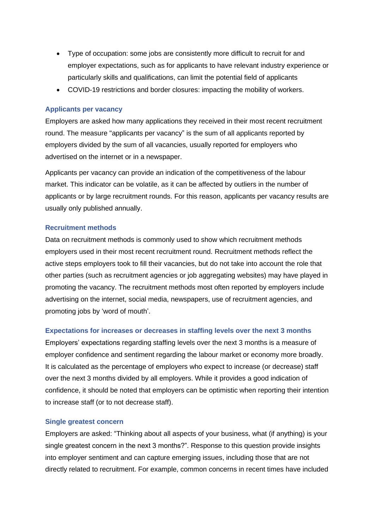- Type of occupation: some jobs are consistently more difficult to recruit for and employer expectations, such as for applicants to have relevant industry experience or particularly skills and qualifications, can limit the potential field of applicants
- COVID-19 restrictions and border closures: impacting the mobility of workers.

#### **Applicants per vacancy**

Employers are asked how many applications they received in their most recent recruitment round. The measure "applicants per vacancy" is the sum of all applicants reported by employers divided by the sum of all vacancies, usually reported for employers who advertised on the internet or in a newspaper.

Applicants per vacancy can provide an indication of the competitiveness of the labour market. This indicator can be volatile, as it can be affected by outliers in the number of applicants or by large recruitment rounds. For this reason, applicants per vacancy results are usually only published annually.

#### **Recruitment methods**

Data on recruitment methods is commonly used to show which recruitment methods employers used in their most recent recruitment round. Recruitment methods reflect the active steps employers took to fill their vacancies, but do not take into account the role that other parties (such as recruitment agencies or job aggregating websites) may have played in promoting the vacancy. The recruitment methods most often reported by employers include advertising on the internet, social media, newspapers, use of recruitment agencies, and promoting jobs by 'word of mouth'.

#### **Expectations for increases or decreases in staffing levels over the next 3 months**

Employers' expectations regarding staffing levels over the next 3 months is a measure of employer confidence and sentiment regarding the labour market or economy more broadly. It is calculated as the percentage of employers who expect to increase (or decrease) staff over the next 3 months divided by all employers. While it provides a good indication of confidence, it should be noted that employers can be optimistic when reporting their intention to increase staff (or to not decrease staff).

#### **Single greatest concern**

Employers are asked: "Thinking about all aspects of your business, what (if anything) is your single greatest concern in the next 3 months?". Response to this question provide insights into employer sentiment and can capture emerging issues, including those that are not directly related to recruitment. For example, common concerns in recent times have included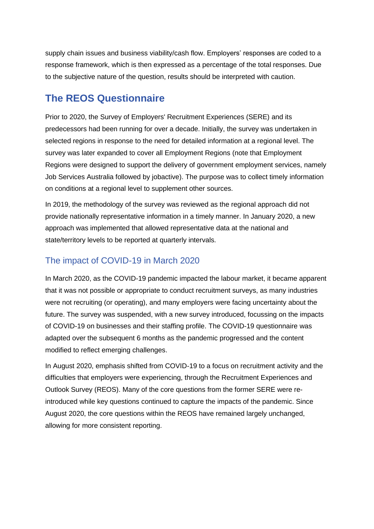supply chain issues and business viability/cash flow. Employers' responses are coded to a response framework, which is then expressed as a percentage of the total responses. Due to the subjective nature of the question, results should be interpreted with caution.

## <span id="page-7-0"></span>**The REOS Questionnaire**

Prior to 2020, the Survey of Employers' Recruitment Experiences (SERE) and its predecessors had been running for over a decade. Initially, the survey was undertaken in selected regions in response to the need for detailed information at a regional level. The survey was later expanded to cover all Employment Regions (note that Employment Regions were designed to support the delivery of government employment services, namely Job Services Australia followed by jobactive). The purpose was to collect timely information on conditions at a regional level to supplement other sources.

In 2019, the methodology of the survey was reviewed as the regional approach did not provide nationally representative information in a timely manner. In January 2020, a new approach was implemented that allowed representative data at the national and state/territory levels to be reported at quarterly intervals.

## The impact of COVID-19 in March 2020

In March 2020, as the COVID-19 pandemic impacted the labour market, it became apparent that it was not possible or appropriate to conduct recruitment surveys, as many industries were not recruiting (or operating), and many employers were facing uncertainty about the future. The survey was suspended, with a new survey introduced, focussing on the impacts of COVID-19 on businesses and their staffing profile. The COVID-19 questionnaire was adapted over the subsequent 6 months as the pandemic progressed and the content modified to reflect emerging challenges.

In August 2020, emphasis shifted from COVID-19 to a focus on recruitment activity and the difficulties that employers were experiencing, through the Recruitment Experiences and Outlook Survey (REOS). Many of the core questions from the former SERE were reintroduced while key questions continued to capture the impacts of the pandemic. Since August 2020, the core questions within the REOS have remained largely unchanged, allowing for more consistent reporting.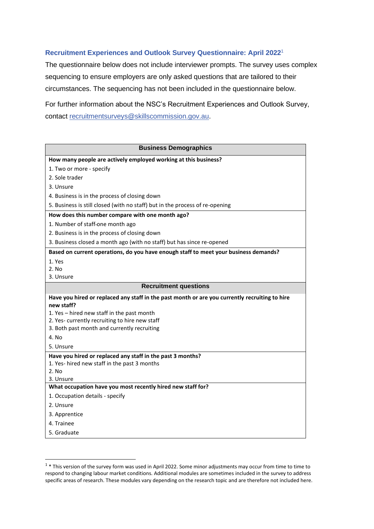#### **Recruitment Experiences and Outlook Survey Questionnaire: April 2022**<sup>1</sup>

The questionnaire below does not include interviewer prompts. The survey uses complex sequencing to ensure employers are only asked questions that are tailored to their circumstances. The sequencing has not been included in the questionnaire below.

For further information about the NSC's Recruitment Experiences and Outlook Survey, contact [recruitmentsurveys@skillscommission.gov.au.](mailto:recruitmentsurveys@skillscommission.gov.au)

| <b>Business Demographics</b>                                                                   |  |
|------------------------------------------------------------------------------------------------|--|
| How many people are actively employed working at this business?                                |  |
| 1. Two or more - specify                                                                       |  |
| 2. Sole trader                                                                                 |  |
| 3. Unsure                                                                                      |  |
| 4. Business is in the process of closing down                                                  |  |
| 5. Business is still closed (with no staff) but in the process of re-opening                   |  |
| How does this number compare with one month ago?                                               |  |
| 1. Number of staff-one month ago                                                               |  |
| 2. Business is in the process of closing down                                                  |  |
| 3. Business closed a month ago (with no staff) but has since re-opened                         |  |
| Based on current operations, do you have enough staff to meet your business demands?           |  |
| 1. Yes                                                                                         |  |
| 2. No                                                                                          |  |
| 3. Unsure                                                                                      |  |
| <b>Recruitment questions</b>                                                                   |  |
| Have you hired or replaced any staff in the past month or are you currently recruiting to hire |  |
| new staff?                                                                                     |  |
| 1. Yes - hired new staff in the past month                                                     |  |
| 2. Yes-currently recruiting to hire new staff<br>3. Both past month and currently recruiting   |  |
| 4. No                                                                                          |  |
| 5. Unsure                                                                                      |  |
|                                                                                                |  |
| Have you hired or replaced any staff in the past 3 months?                                     |  |
| 1. Yes- hired new staff in the past 3 months<br>2. No                                          |  |
| 3. Unsure                                                                                      |  |
| What occupation have you most recently hired new staff for?                                    |  |
| 1. Occupation details - specify                                                                |  |
| 2. Unsure                                                                                      |  |
| 3. Apprentice                                                                                  |  |
| 4. Trainee                                                                                     |  |
| 5. Graduate                                                                                    |  |

<sup>&</sup>lt;sup>1</sup> \* This version of the survey form was used in April 2022. Some minor adjustments may occur from time to time to respond to changing labour market conditions. Additional modules are sometimes included in the survey to address specific areas of research. These modules vary depending on the research topic and are therefore not included here.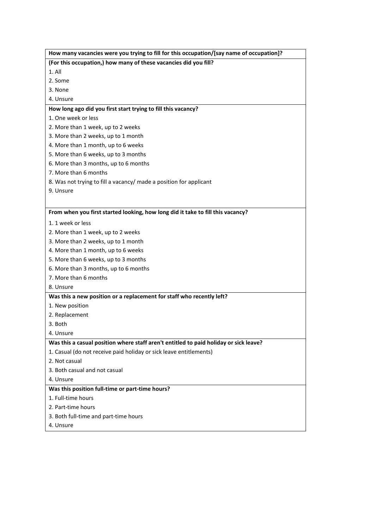| (For this occupation,) how many of these vacancies did you fill?<br>$1.$ All<br>2. Some<br>3. None<br>4. Unsure<br>How long ago did you first start trying to fill this vacancy?<br>1. One week or less<br>2. More than 1 week, up to 2 weeks<br>3. More than 2 weeks, up to 1 month<br>4. More than 1 month, up to 6 weeks<br>5. More than 6 weeks, up to 3 months<br>6. More than 3 months, up to 6 months<br>7. More than 6 months<br>8. Was not trying to fill a vacancy/ made a position for applicant<br>9. Unsure<br>From when you first started looking, how long did it take to fill this vacancy?<br>1. 1 week or less<br>2. More than 1 week, up to 2 weeks |
|------------------------------------------------------------------------------------------------------------------------------------------------------------------------------------------------------------------------------------------------------------------------------------------------------------------------------------------------------------------------------------------------------------------------------------------------------------------------------------------------------------------------------------------------------------------------------------------------------------------------------------------------------------------------|
|                                                                                                                                                                                                                                                                                                                                                                                                                                                                                                                                                                                                                                                                        |
|                                                                                                                                                                                                                                                                                                                                                                                                                                                                                                                                                                                                                                                                        |
|                                                                                                                                                                                                                                                                                                                                                                                                                                                                                                                                                                                                                                                                        |
|                                                                                                                                                                                                                                                                                                                                                                                                                                                                                                                                                                                                                                                                        |
|                                                                                                                                                                                                                                                                                                                                                                                                                                                                                                                                                                                                                                                                        |
|                                                                                                                                                                                                                                                                                                                                                                                                                                                                                                                                                                                                                                                                        |
|                                                                                                                                                                                                                                                                                                                                                                                                                                                                                                                                                                                                                                                                        |
|                                                                                                                                                                                                                                                                                                                                                                                                                                                                                                                                                                                                                                                                        |
|                                                                                                                                                                                                                                                                                                                                                                                                                                                                                                                                                                                                                                                                        |
|                                                                                                                                                                                                                                                                                                                                                                                                                                                                                                                                                                                                                                                                        |
|                                                                                                                                                                                                                                                                                                                                                                                                                                                                                                                                                                                                                                                                        |
|                                                                                                                                                                                                                                                                                                                                                                                                                                                                                                                                                                                                                                                                        |
|                                                                                                                                                                                                                                                                                                                                                                                                                                                                                                                                                                                                                                                                        |
|                                                                                                                                                                                                                                                                                                                                                                                                                                                                                                                                                                                                                                                                        |
|                                                                                                                                                                                                                                                                                                                                                                                                                                                                                                                                                                                                                                                                        |
|                                                                                                                                                                                                                                                                                                                                                                                                                                                                                                                                                                                                                                                                        |
|                                                                                                                                                                                                                                                                                                                                                                                                                                                                                                                                                                                                                                                                        |
|                                                                                                                                                                                                                                                                                                                                                                                                                                                                                                                                                                                                                                                                        |
|                                                                                                                                                                                                                                                                                                                                                                                                                                                                                                                                                                                                                                                                        |
| 3. More than 2 weeks, up to 1 month                                                                                                                                                                                                                                                                                                                                                                                                                                                                                                                                                                                                                                    |
| 4. More than 1 month, up to 6 weeks                                                                                                                                                                                                                                                                                                                                                                                                                                                                                                                                                                                                                                    |
| 5. More than 6 weeks, up to 3 months                                                                                                                                                                                                                                                                                                                                                                                                                                                                                                                                                                                                                                   |
| 6. More than 3 months, up to 6 months                                                                                                                                                                                                                                                                                                                                                                                                                                                                                                                                                                                                                                  |
| 7. More than 6 months                                                                                                                                                                                                                                                                                                                                                                                                                                                                                                                                                                                                                                                  |
| 8. Unsure                                                                                                                                                                                                                                                                                                                                                                                                                                                                                                                                                                                                                                                              |
| Was this a new position or a replacement for staff who recently left?                                                                                                                                                                                                                                                                                                                                                                                                                                                                                                                                                                                                  |
| 1. New position                                                                                                                                                                                                                                                                                                                                                                                                                                                                                                                                                                                                                                                        |
| 2. Replacement                                                                                                                                                                                                                                                                                                                                                                                                                                                                                                                                                                                                                                                         |
| 3. Both                                                                                                                                                                                                                                                                                                                                                                                                                                                                                                                                                                                                                                                                |
| 4. Unsure                                                                                                                                                                                                                                                                                                                                                                                                                                                                                                                                                                                                                                                              |
| Was this a casual position where staff aren't entitled to paid holiday or sick leave?                                                                                                                                                                                                                                                                                                                                                                                                                                                                                                                                                                                  |
| 1. Casual (do not receive paid holiday or sick leave entitlements)                                                                                                                                                                                                                                                                                                                                                                                                                                                                                                                                                                                                     |
| 2. Not casual                                                                                                                                                                                                                                                                                                                                                                                                                                                                                                                                                                                                                                                          |
| 3. Both casual and not casual                                                                                                                                                                                                                                                                                                                                                                                                                                                                                                                                                                                                                                          |
| 4. Unsure                                                                                                                                                                                                                                                                                                                                                                                                                                                                                                                                                                                                                                                              |
| Was this position full-time or part-time hours?                                                                                                                                                                                                                                                                                                                                                                                                                                                                                                                                                                                                                        |
| 1. Full-time hours                                                                                                                                                                                                                                                                                                                                                                                                                                                                                                                                                                                                                                                     |
| 2. Part-time hours                                                                                                                                                                                                                                                                                                                                                                                                                                                                                                                                                                                                                                                     |
| 3. Both full-time and part-time hours                                                                                                                                                                                                                                                                                                                                                                                                                                                                                                                                                                                                                                  |
| 4. Unsure                                                                                                                                                                                                                                                                                                                                                                                                                                                                                                                                                                                                                                                              |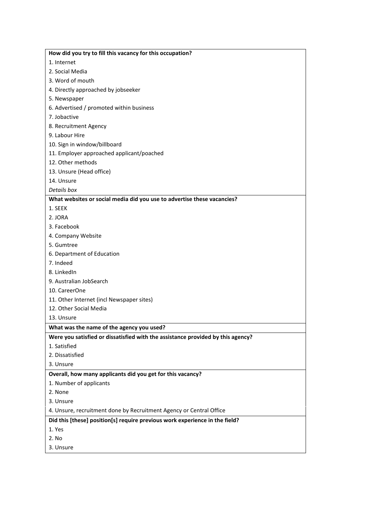| How did you try to fill this vacancy for this occupation?                       |
|---------------------------------------------------------------------------------|
| 1. Internet                                                                     |
| 2. Social Media                                                                 |
| 3. Word of mouth                                                                |
| 4. Directly approached by jobseeker                                             |
| 5. Newspaper                                                                    |
| 6. Advertised / promoted within business                                        |
| 7. Jobactive                                                                    |
| 8. Recruitment Agency                                                           |
| 9. Labour Hire                                                                  |
| 10. Sign in window/billboard                                                    |
| 11. Employer approached applicant/poached                                       |
| 12. Other methods                                                               |
| 13. Unsure (Head office)                                                        |
| 14. Unsure                                                                      |
| Details box                                                                     |
| What websites or social media did you use to advertise these vacancies?         |
| 1. SEEK                                                                         |
| 2. JORA                                                                         |
| 3. Facebook                                                                     |
| 4. Company Website                                                              |
| 5. Gumtree                                                                      |
| 6. Department of Education                                                      |
| 7. Indeed                                                                       |
| 8. LinkedIn                                                                     |
| 9. Australian JobSearch                                                         |
| 10. CareerOne                                                                   |
| 11. Other Internet (incl Newspaper sites)                                       |
| 12. Other Social Media                                                          |
| 13. Unsure                                                                      |
| What was the name of the agency you used?                                       |
| Were you satisfied or dissatisfied with the assistance provided by this agency? |
| 1. Satisfied                                                                    |
| 2. Dissatisfied                                                                 |
| 3. Unsure                                                                       |
| Overall, how many applicants did you get for this vacancy?                      |
| 1. Number of applicants                                                         |
| 2. None                                                                         |
| 3. Unsure                                                                       |
| 4. Unsure, recruitment done by Recruitment Agency or Central Office             |
| Did this [these] position[s] require previous work experience in the field?     |
| 1. Yes                                                                          |
| 2. No                                                                           |
| 3. Unsure                                                                       |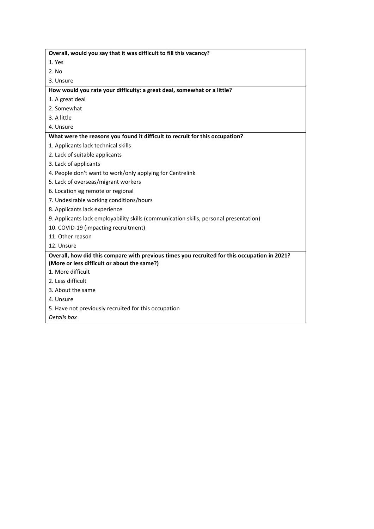| 1. Yes<br>3. Unsure<br>1. Applicants lack technical skills<br>10. COVID-19 (impacting recruitment)<br>12. Unsure | Overall, would you say that it was difficult to fill this vacancy?                                                                          |
|------------------------------------------------------------------------------------------------------------------|---------------------------------------------------------------------------------------------------------------------------------------------|
|                                                                                                                  |                                                                                                                                             |
|                                                                                                                  | 2. No                                                                                                                                       |
|                                                                                                                  |                                                                                                                                             |
|                                                                                                                  | How would you rate your difficulty: a great deal, somewhat or a little?                                                                     |
|                                                                                                                  | 1. A great deal                                                                                                                             |
|                                                                                                                  | 2. Somewhat                                                                                                                                 |
|                                                                                                                  | 3. A little                                                                                                                                 |
|                                                                                                                  | 4. Unsure                                                                                                                                   |
|                                                                                                                  | What were the reasons you found it difficult to recruit for this occupation?                                                                |
|                                                                                                                  |                                                                                                                                             |
|                                                                                                                  | 2. Lack of suitable applicants                                                                                                              |
|                                                                                                                  | 3. Lack of applicants                                                                                                                       |
|                                                                                                                  | 4. People don't want to work/only applying for Centrelink                                                                                   |
|                                                                                                                  | 5. Lack of overseas/migrant workers                                                                                                         |
|                                                                                                                  | 6. Location eg remote or regional                                                                                                           |
|                                                                                                                  | 7. Undesirable working conditions/hours                                                                                                     |
|                                                                                                                  | 8. Applicants lack experience                                                                                                               |
|                                                                                                                  | 9. Applicants lack employability skills (communication skills, personal presentation)                                                       |
|                                                                                                                  |                                                                                                                                             |
|                                                                                                                  | 11. Other reason                                                                                                                            |
|                                                                                                                  |                                                                                                                                             |
|                                                                                                                  | Overall, how did this compare with previous times you recruited for this occupation in 2021?<br>(More or less difficult or about the same?) |
|                                                                                                                  | 1. More difficult                                                                                                                           |
|                                                                                                                  | 2. Less difficult                                                                                                                           |
|                                                                                                                  | 3. About the same                                                                                                                           |
|                                                                                                                  | 4. Unsure                                                                                                                                   |
|                                                                                                                  | 5. Have not previously recruited for this occupation                                                                                        |
| Details box                                                                                                      |                                                                                                                                             |